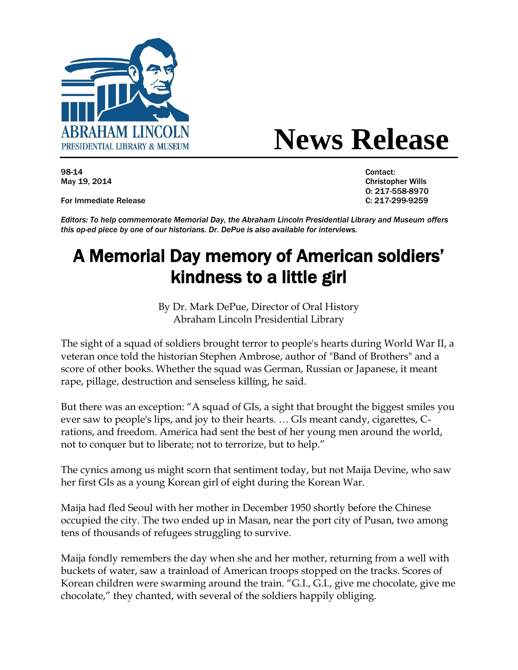

## **ABKAHAM LINCOLN News Release**

98-14 Contact:

For Immediate Release C: 217-299-9259

May 19, 2014 Christopher Wills O: 217-558-8970

*Editors: To help commemorate Memorial Day, the Abraham Lincoln Presidential Library and Museum offers this op-ed piece by one of our historians. Dr. DePue is also available for interviews.*

## A Memorial Day memory of American soldiers' kindness to a little girl

By Dr. Mark DePue, Director of Oral History Abraham Lincoln Presidential Library

The sight of a squad of soldiers brought terror to people's hearts during World War II, a veteran once told the historian Stephen Ambrose, author of "Band of Brothers" and a score of other books. Whether the squad was German, Russian or Japanese, it meant rape, pillage, destruction and senseless killing, he said.

But there was an exception: "A squad of GIs, a sight that brought the biggest smiles you ever saw to people's lips, and joy to their hearts. … GIs meant candy, cigarettes, Crations, and freedom. America had sent the best of her young men around the world, not to conquer but to liberate; not to terrorize, but to help."

The cynics among us might scorn that sentiment today, but not Maija Devine, who saw her first GIs as a young Korean girl of eight during the Korean War.

Maija had fled Seoul with her mother in December 1950 shortly before the Chinese occupied the city. The two ended up in Masan, near the port city of Pusan, two among tens of thousands of refugees struggling to survive.

Maija fondly remembers the day when she and her mother, returning from a well with buckets of water, saw a trainload of American troops stopped on the tracks. Scores of Korean children were swarming around the train. "G.I., G.I., give me chocolate, give me chocolate," they chanted, with several of the soldiers happily obliging.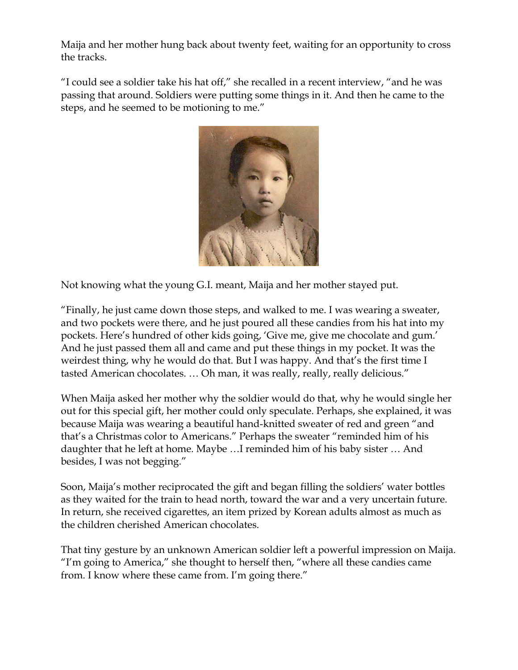Maija and her mother hung back about twenty feet, waiting for an opportunity to cross the tracks.

"I could see a soldier take his hat off," she recalled in a recent interview, "and he was passing that around. Soldiers were putting some things in it. And then he came to the steps, and he seemed to be motioning to me."



Not knowing what the young G.I. meant, Maija and her mother stayed put.

"Finally, he just came down those steps, and walked to me. I was wearing a sweater, and two pockets were there, and he just poured all these candies from his hat into my pockets. Here's hundred of other kids going, 'Give me, give me chocolate and gum.' And he just passed them all and came and put these things in my pocket. It was the weirdest thing, why he would do that. But I was happy. And that's the first time I tasted American chocolates. … Oh man, it was really, really, really delicious."

When Maija asked her mother why the soldier would do that, why he would single her out for this special gift, her mother could only speculate. Perhaps, she explained, it was because Maija was wearing a beautiful hand-knitted sweater of red and green "and that's a Christmas color to Americans." Perhaps the sweater "reminded him of his daughter that he left at home. Maybe …I reminded him of his baby sister … And besides, I was not begging."

Soon, Maija's mother reciprocated the gift and began filling the soldiers' water bottles as they waited for the train to head north, toward the war and a very uncertain future. In return, she received cigarettes, an item prized by Korean adults almost as much as the children cherished American chocolates.

That tiny gesture by an unknown American soldier left a powerful impression on Maija. "I'm going to America," she thought to herself then, "where all these candies came from. I know where these came from. I'm going there."